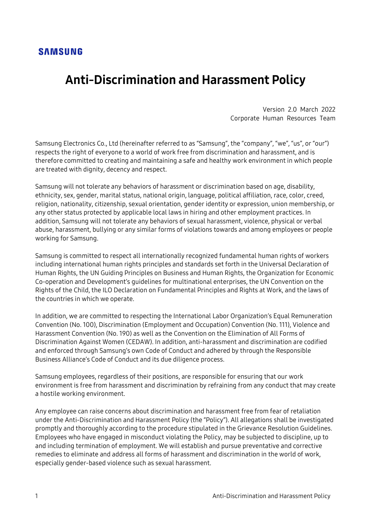#### **SAMSUNG**

# Anti-Discrimination and Harassment Policy

Version 2.0 March 2022 Corporate Human Resources Team

Samsung Electronics Co., Ltd (hereinafter referred to as "Samsung", the "company", "we", "us", or "our") respects the right of everyone to a world of work free from discrimination and harassment, and is therefore committed to creating and maintaining a safe and healthy work environment in which people are treated with dignity, decency and respect.

Samsung will not tolerate any behaviors of harassment or discrimination based on age, disability, ethnicity, sex, gender, marital status, national origin, language, political affiliation, race, color, creed, religion, nationality, citizenship, sexual orientation, gender identity or expression, union membership, or any other status protected by applicable local laws in hiring and other employment practices. In addition, Samsung will not tolerate any behaviors of sexual harassment, violence, physical or verbal abuse, harassment, bullying or any similar forms of violations towards and among employees or people working for Samsung.

Samsung is committed to respect all internationally recognized fundamental human rights of workers including international human rights principles and standards set forth in the Universal Declaration of Human Rights, the UN Guiding Principles on Business and Human Rights, the Organization for Economic Co-operation and Development's guidelines for multinational enterprises, the UN Convention on the Rights of the Child, the ILO Declaration on Fundamental Principles and Rights at Work, and the laws of the countries in which we operate.

In addition, we are committed to respecting the International Labor Organization's Equal Remuneration Convention (No. 100), Discrimination (Employment and Occupation) Convention (No. 111), Violence and Harassment Convention (No. 190) as well as the Convention on the Elimination of All Forms of Discrimination Against Women (CEDAW). In addition, anti-harassment and discrimination are codified and enforced through Samsung's own Code of Conduct and adhered by through the Responsible Business Alliance's Code of Conduct and its due diligence process.

Samsung employees, regardless of their positions, are responsible for ensuring that our work environment is free from harassment and discrimination by refraining from any conduct that may create a hostile working environment.

Any employee can raise concerns about discrimination and harassment free from fear of retaliation under the Anti-Discrimination and Harassment Policy (the "Policy"). All allegations shall be investigated promptly and thoroughly according to the procedure stipulated in the Grievance Resolution Guidelines. Employees who have engaged in misconduct violating the Policy, may be subjected to discipline, up to and including termination of employment. We will establish and pursue preventative and corrective remedies to eliminate and address all forms of harassment and discrimination in the world of work, especially gender-based violence such as sexual harassment.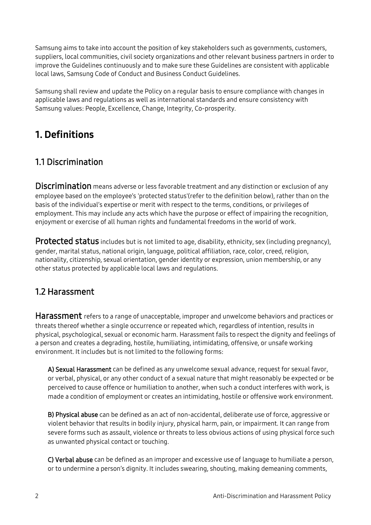Samsung aims to take into account the position of key stakeholders such as governments, customers, suppliers, local communities, civil society organizations and other relevant business partners in order to improve the Guidelines continuously and to make sure these Guidelines are consistent with applicable local laws, Samsung Code of Conduct and Business Conduct Guidelines.

Samsung shall review and update the Policy on a regular basis to ensure compliance with changes in applicable laws and regulations as well as international standards and ensure consistency with Samsung values: People, Excellence, Change, Integrity, Co-prosperity.

# 1. Definitions

### 1.1 Discrimination

**Discrimination** means adverse or less favorable treatment and any distinction or exclusion of any employee based on the employee's 'protected status'(refer to the definition below), rather than on the basis of the individual's expertise or merit with respect to the terms, conditions, or privileges of employment. This may include any acts which have the purpose or effect of impairing the recognition, enjoyment or exercise of all human rights and fundamental freedoms in the world of work.

Protected status includes but is not limited to age, disability, ethnicity, sex (including pregnancy), gender, marital status, national origin, language, political affiliation, race, color, creed, religion, nationality, citizenship, sexual orientation, gender identity or expression, union membership, or any other status protected by applicable local laws and regulations.

### 1.2 Harassment

**Harassment** refers to a range of unacceptable, improper and unwelcome behaviors and practices or threats thereof whether a single occurrence or repeated which, regardless of intention, results in physical, psychological, sexual or economic harm. Harassment fails to respect the dignity and feelings of a person and creates a degrading, hostile, humiliating, intimidating, offensive, or unsafe working environment. It includes but is not limited to the following forms:

A) Sexual Harassment can be defined as any unwelcome sexual advance, request for sexual favor, or verbal, physical, or any other conduct of a sexual nature that might reasonably be expected or be perceived to cause offence or humiliation to another, when such a conduct interferes with work, is made a condition of employment or creates an intimidating, hostile or offensive work environment.

B) Physical abuse can be defined as an act of non-accidental, deliberate use of force, aggressive or violent behavior that results in bodily injury, physical harm, pain, or impairment. It can range from severe forms such as assault, violence or threats to less obvious actions of using physical force such as unwanted physical contact or touching.

C) Verbal abuse can be defined as an improper and excessive use of language to humiliate a person, or to undermine a person's dignity. It includes swearing, shouting, making demeaning comments,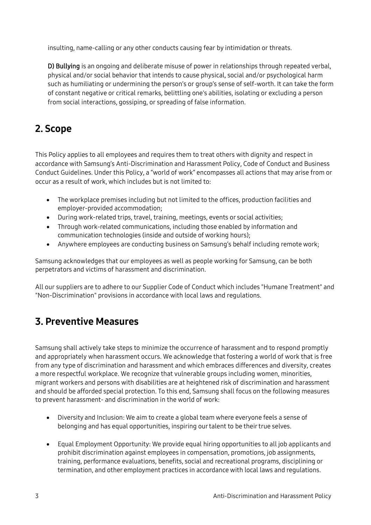insulting, name-calling or any other conducts causing fear by intimidation or threats.

D) Bullying is an ongoing and deliberate misuse of power in relationships through repeated verbal, physical and/or social behavior that intends to cause physical, social and/or psychological harm such as humiliating or undermining the person's or group's sense of self-worth. It can take the form of constant negative or critical remarks, belittling one's abilities, isolating or excluding a person from social interactions, gossiping, or spreading of false information.

# 2. Scope

This Policy applies to all employees and requires them to treat others with dignity and respect in accordance with Samsung's Anti-Discrimination and Harassment Policy, Code of Conduct and Business Conduct Guidelines. Under this Policy, a "world of work" encompasses all actions that may arise from or occur as a result of work, which includes but is not limited to:

- The workplace premises including but not limited to the offices, production facilities and employer-provided accommodation;
- During work-related trips, travel, training, meetings, events or social activities;
- Through work-related communications, including those enabled by information and communication technologies (inside and outside of working hours);
- Anywhere employees are conducting business on Samsung's behalf including remote work;

Samsung acknowledges that our employees as well as people working for Samsung, can be both perpetrators and victims of harassment and discrimination.

All our suppliers are to adhere to our Supplier Code of Conduct which includes "Humane Treatment" and "Non-Discrimination" provisions in accordance with local laws and regulations.

### 3. Preventive Measures

Samsung shall actively take steps to minimize the occurrence of harassment and to respond promptly and appropriately when harassment occurs. We acknowledge that fostering a world of work that is free from any type of discrimination and harassment and which embraces differences and diversity, creates a more respectful workplace. We recognize that vulnerable groups including women, minorities, migrant workers and persons with disabilities are at heightened risk of discrimination and harassment and should be afforded special protection. To this end, Samsung shall focus on the following measures to prevent harassment- and discrimination in the world of work:

- Diversity and Inclusion: We aim to create a global team where everyone feels a sense of belonging and has equal opportunities, inspiring our talent to be their true selves.
- Equal Employment Opportunity: We provide equal hiring opportunities to all job applicants and prohibit discrimination against employees in compensation, promotions, job assignments, training, performance evaluations, benefits, social and recreational programs, disciplining or termination, and other employment practices in accordance with local laws and regulations.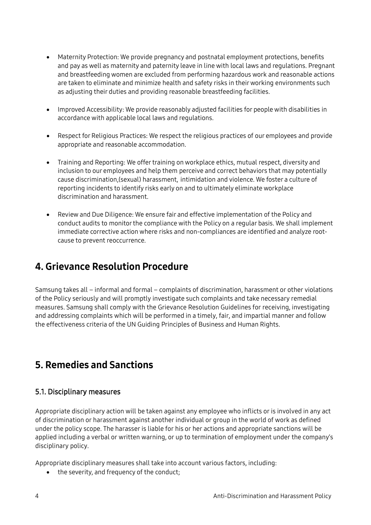- Maternity Protection: We provide pregnancy and postnatal employment protections, benefits and pay as well as maternity and paternity leave in line with local laws and regulations. Pregnant and breastfeeding women are excluded from performing hazardous work and reasonable actions are taken to eliminate and minimize health and safety risks in their working environments such as adjusting their duties and providing reasonable breastfeeding facilities.
- Improved Accessibility: We provide reasonably adjusted facilities for people with disabilities in accordance with applicable local laws and regulations.
- Respect for Religious Practices: We respect the religious practices of our employees and provide appropriate and reasonable accommodation.
- Training and Reporting: We offer training on workplace ethics, mutual respect, diversity and inclusion to our employees and help them perceive and correct behaviors that may potentially cause discrimination,(sexual) harassment, intimidation and violence. We foster a culture of reporting incidents to identify risks early on and to ultimately eliminate workplace discrimination and harassment.
- Review and Due Diligence: We ensure fair and effective implementation of the Policy and conduct audits to monitor the compliance with the Policy on a regular basis. We shall implement immediate corrective action where risks and non-compliances are identified and analyze rootcause to prevent reoccurrence.

### 4. Grievance Resolution Procedure

Samsung takes all – informal and formal – complaints of discrimination, harassment or other violations of the Policy seriously and will promptly investigate such complaints and take necessary remedial measures. Samsung shall comply with the Grievance Resolution Guidelines for receiving, investigating and addressing complaints which will be performed in a timely, fair, and impartial manner and follow the effectiveness criteria of the UN Guiding Principles of Business and Human Rights.

### 5. Remedies and Sanctions

#### 5.1. Disciplinary measures

Appropriate disciplinary action will be taken against any employee who inflicts or is involved in any act of discrimination or harassment against another individual or group in the world of work as defined under the policy scope. The harasser is liable for his or her actions and appropriate sanctions will be applied including a verbal or written warning, or up to termination of employment under the company's disciplinary policy.

Appropriate disciplinary measures shall take into account various factors, including:

• the severity, and frequency of the conduct;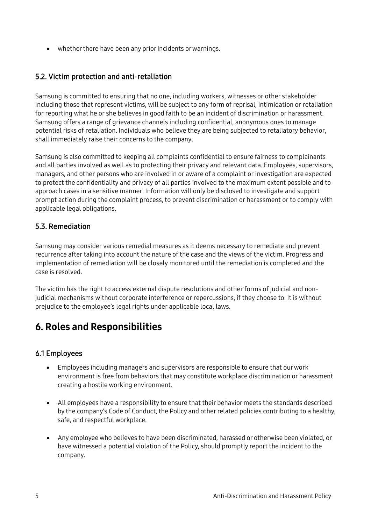• whether there have been any prior incidents or warnings.

#### 5.2. Victim protection and anti-retaliation

Samsung is committed to ensuring that no one, including workers, witnesses or other stakeholder including those that represent victims, will be subject to any form of reprisal, intimidation or retaliation for reporting what he or she believes in good faith to be an incident of discrimination or harassment. Samsung offers a range of grievance channels including confidential, anonymous ones to manage potential risks of retaliation. Individuals who believe they are being subjected to retaliatory behavior, shall immediately raise their concerns to the company.

Samsung is also committed to keeping all complaints confidential to ensure fairness to complainants and all parties involved as well as to protecting their privacy and relevant data. Employees, supervisors, managers, and other persons who are involved in or aware of a complaint or investigation are expected to protect the confidentiality and privacy of all parties involved to the maximum extent possible and to approach cases in a sensitive manner. Information will only be disclosed to investigate and support prompt action during the complaint process, to prevent discrimination or harassment or to comply with applicable legal obligations.

#### 5.3. Remediation

Samsung may consider various remedial measures as it deems necessary to remediate and prevent recurrence after taking into account the nature of the case and the views of the victim. Progress and implementation of remediation will be closely monitored until the remediation is completed and the case is resolved.

The victim has the right to access external dispute resolutions and other forms of judicial and nonjudicial mechanisms without corporate interference or repercussions, if they choose to. It is without prejudice to the employee's legal rights under applicable local laws.

# 6. Roles and Responsibilities

#### 6.1 Employees

- Employees including managers and supervisors are responsible to ensure that our work environment is free from behaviors that may constitute workplace discrimination or harassment creating a hostile working environment.
- All employees have a responsibility to ensure that their behavior meets the standards described by the company's Code of Conduct, the Policy and other related policies contributing to a healthy, safe, and respectful workplace.
- Any employee who believes to have been discriminated, harassed or otherwise been violated, or have witnessed a potential violation of the Policy, should promptly report the incident to the company.